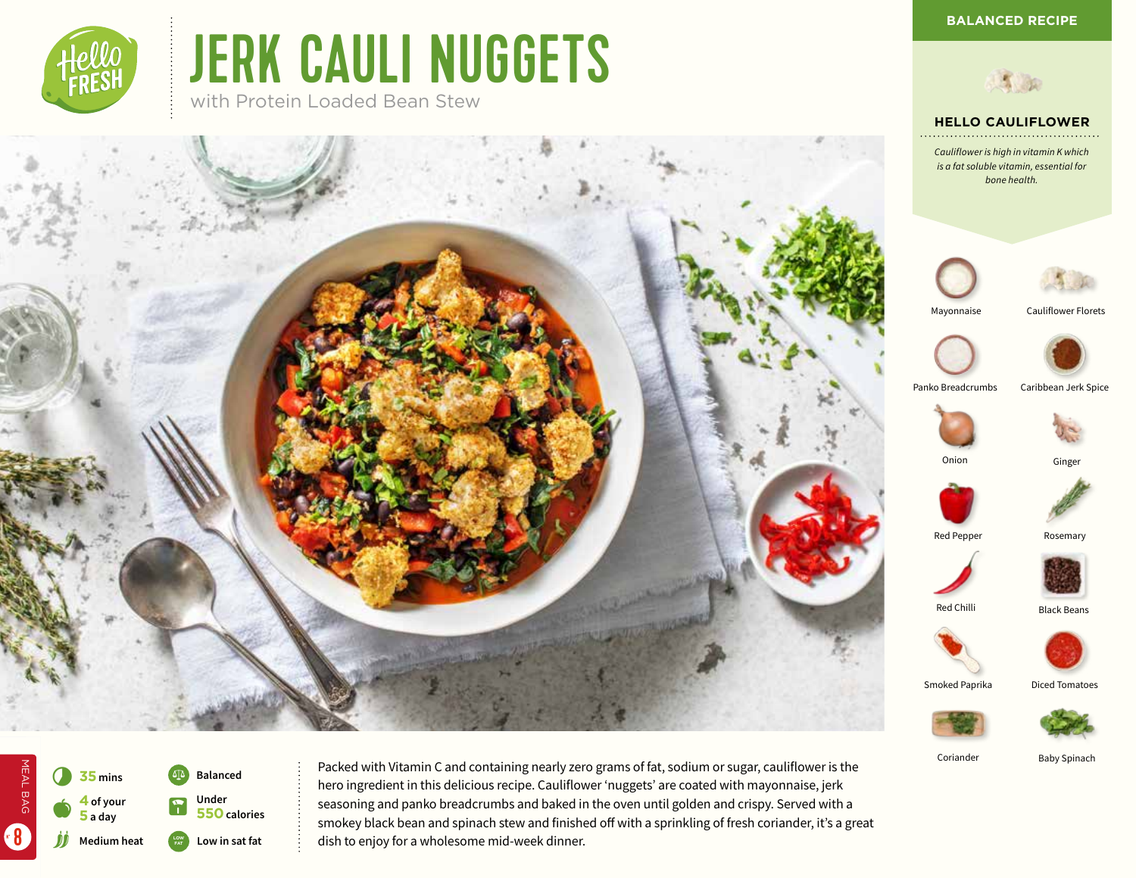*bone health.*

**HELLO CAULIFLOWER**



# JERK CAULI NUGGETS

with Protein Loaded Bean Stew





Ginger



Red Pepper Rosemary





Coriander Baby Spinach

Smoked Paprika

Diced Tomatoes





MEAL BAG

MEAL BAG

jj

 $\bullet$ 

8

Packed with Vitamin C and containing nearly zero grams of fat, sodium or sugar, cauliflower is the hero ingredient in this delicious recipe. Cauliflower 'nuggets' are coated with mayonnaise, jerk seasoning and panko breadcrumbs and baked in the oven until golden and crispy. Served with a smokey black bean and spinach stew and finished off with a sprinkling of fresh coriander, it's a great dish to enjoy for a wholesome mid-week dinner.